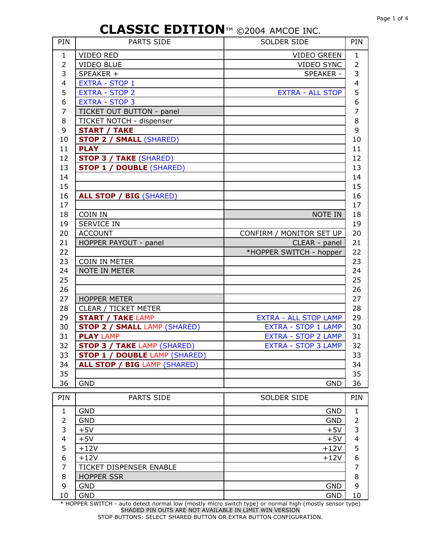| PIN            | <b>PARTS SIDE</b>                    | SOLDER SIDE                  |                          |  |  |
|----------------|--------------------------------------|------------------------------|--------------------------|--|--|
| $\mathbf{1}$   | <b>VIDEO RED</b>                     | <b>VIDEO GREEN</b>           | $\mathbf{1}$             |  |  |
| $\overline{2}$ | <b>VIDEO BLUE</b>                    | <b>VIDEO SYNC</b>            | $\overline{2}$           |  |  |
| 3              | SPEAKER +                            | <b>SPEAKER -</b>             | 3                        |  |  |
| 4              | <b>EXTRA - STOP 1</b>                |                              | $\overline{\mathcal{A}}$ |  |  |
| 5              | <b>EXTRA - STOP 2</b>                | <b>EXTRA - ALL STOP</b>      | 5                        |  |  |
| 6              | <b>EXTRA - STOP 3</b>                |                              | 6                        |  |  |
| 7              | TICKET OUT BUTTON - panel            |                              | $\overline{7}$           |  |  |
| 8              | TICKET NOTCH - dispenser             |                              | 8                        |  |  |
| 9              | <b>START / TAKE</b>                  |                              | 9                        |  |  |
| 10             | <b>STOP 2 / SMALL (SHARED)</b>       |                              | 10                       |  |  |
| 11             | <b>PLAY</b>                          |                              | 11                       |  |  |
| 12             | <b>STOP 3 / TAKE (SHARED)</b>        |                              | 12                       |  |  |
| 13             | <b>STOP 1 / DOUBLE (SHARED)</b>      |                              | 13                       |  |  |
| 14             |                                      |                              | 14                       |  |  |
| 15             |                                      |                              | 15                       |  |  |
| 16             | <b>ALL STOP / BIG (SHARED)</b>       |                              | 16                       |  |  |
| 17             |                                      |                              | 17                       |  |  |
| 18             | COIN IN                              | NOTE IN                      | 18                       |  |  |
| 19             | <b>SERVICE IN</b>                    |                              | 19                       |  |  |
| 20             | <b>ACCOUNT</b>                       | CONFIRM / MONITOR SET UP     | 20                       |  |  |
| 21             | HOPPER PAYOUT - panel                | CLEAR - panel                | 21                       |  |  |
| 22             |                                      | *HOPPER SWITCH - hopper      | 22                       |  |  |
| 23             | <b>COIN IN METER</b>                 |                              | 23                       |  |  |
| 24             | NOTE IN METER                        |                              | 24                       |  |  |
| 25             |                                      |                              | 25                       |  |  |
| 26             |                                      |                              | 26                       |  |  |
| 27             | <b>HOPPER METER</b>                  |                              | 27                       |  |  |
| 28             | CLEAR / TICKET METER                 |                              | 28                       |  |  |
| 29             | <b>START / TAKE LAMP</b>             | <b>EXTRA - ALL STOP LAMP</b> | 29                       |  |  |
| 30             | <b>STOP 2 / SMALL LAMP (SHARED)</b>  | EXTRA - STOP 1 LAMP          | 30                       |  |  |
| 31             | <b>PLAY LAMP</b>                     | <b>EXTRA - STOP 2 LAMP</b>   | 31                       |  |  |
| 32             | <b>STOP 3 / TAKE LAMP (SHARED)</b>   | <b>EXTRA - STOP 3 LAMP</b>   | 32                       |  |  |
| 33             | <b>STOP 1 / DOUBLE LAMP (SHARED)</b> |                              | 33                       |  |  |
| 34             | <b>ALL STOP / BIG LAMP (SHARED)</b>  |                              | 34                       |  |  |
| 35             |                                      |                              | 35                       |  |  |
| 36             | <b>GND</b>                           | <b>GND</b>                   | 36                       |  |  |
|                |                                      |                              |                          |  |  |
| PIN            | <b>PARTS SIDE</b>                    | SOLDER SIDE                  | PIN                      |  |  |
| 1              | <b>GND</b>                           | <b>GND</b>                   | 1                        |  |  |
| 2              | <b>GND</b>                           | <b>GND</b>                   | 2                        |  |  |
| 3              | $+5V$                                | $+5V$                        | 3                        |  |  |
| 4              | $+5V$                                | $+5V$                        | $\overline{\mathcal{L}}$ |  |  |
| 5              | $+12V$                               | $+12V$                       | 5                        |  |  |
| 6              | $+12V$                               | $+12V$                       | 6                        |  |  |
| 7              | TICKET DISPENSER ENABLE              |                              | 7                        |  |  |
| 8              | <b>HOPPER SSR</b>                    |                              | 8                        |  |  |
| 9              | <b>GND</b>                           | <b>GND</b>                   | 9                        |  |  |
| 10             | <b>GND</b>                           | <b>GND</b>                   | 10                       |  |  |

\* HOPPER SWITCH - auto detect normal low (mostly micro switch type) or normal high (mostly sensor type) SHADED PIN OUTS ARE NOT AVAILABLE IN LIMIT WIN VERSION STOP BUTTONS: SELECT SHARED BUTTON OR EXTRA BUTTON CONFIGURATION.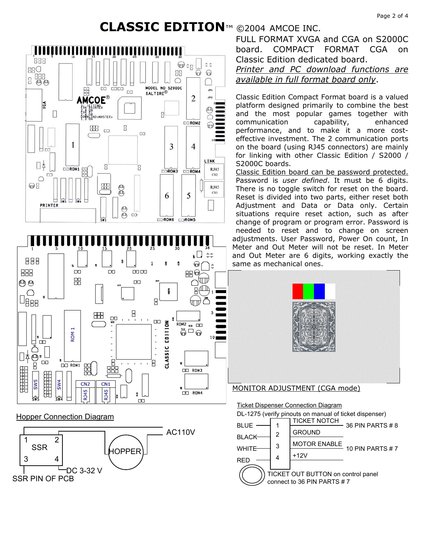





FULL FORMAT XVGA and CGA on S2000C board. COMPACT FORMAT CGA on Classic Edition dedicated board.

### *Printer and PC download functions are available in full format board only*.

Classic Edition Compact Format board is a valued platform designed primarily to combine the best and the most popular games together with communication capability, enhanced performance, and to make it a more costeffective investment. The 2 communication ports on the board (using RJ45 connectors) are mainly for linking with other Classic Edition / S2000 / S2000C boards.

Classic Edition board can be password protected. Password is *user defined*. It must be 6 digits. There is no toggle switch for reset on the board. Reset is divided into two parts, either reset both Adjustment and Data or Data only. Certain situations require reset action, such as after change of program or program error. Password is needed to reset and to change on screen adjustments. User Password, Power On count, In Meter and Out Meter will not be reset. In Meter and Out Meter are 6 digits, working exactly the same as mechanical ones.



### MONITOR ADJUSTMENT (CGA mode)

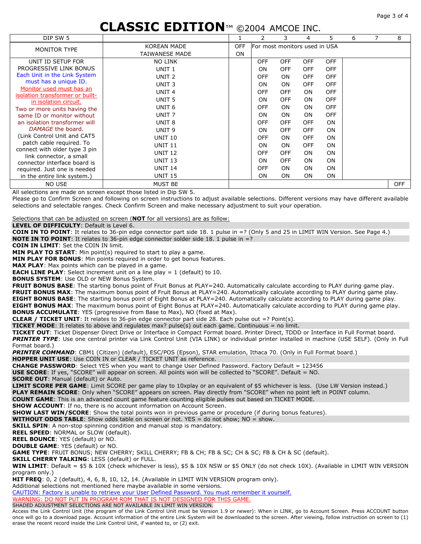#### Page 3 of 4

# **CLASSIC EDITION**™ ©2004 AMCOE INC.

| DIP SW 5                                                 |                       |            |                               | 3          | 4          | 5.         | 6 |  | 8          |
|----------------------------------------------------------|-----------------------|------------|-------------------------------|------------|------------|------------|---|--|------------|
| MONITOR TYPE                                             | <b>KOREAN MADE</b>    | <b>OFF</b> | For most monitors used in USA |            |            |            |   |  |            |
|                                                          | <b>TAIWANESE MADE</b> | <b>ON</b>  |                               |            |            |            |   |  |            |
| UNIT ID SETUP FOR                                        | <b>NO LINK</b>        |            | <b>OFF</b>                    | <b>OFF</b> | <b>OFF</b> | <b>OFF</b> |   |  |            |
| PROGRESSIVE LINK BONUS                                   | UNIT <sub>1</sub>     |            | <b>ON</b>                     | <b>OFF</b> | <b>OFF</b> | <b>OFF</b> |   |  |            |
| Each Unit in the Link System                             | UNIT <sub>2</sub>     |            | <b>OFF</b>                    | <b>ON</b>  | <b>OFF</b> | <b>OFF</b> |   |  |            |
| must has a unique ID.                                    | UNIT <sub>3</sub>     |            | <b>ON</b>                     | <b>ON</b>  | <b>OFF</b> | <b>OFF</b> |   |  |            |
| Monitor used must has an                                 | UNIT <sub>4</sub>     |            | <b>OFF</b>                    | <b>OFF</b> | <b>ON</b>  | <b>OFF</b> |   |  |            |
| isolation transformer or built-<br>in isolation circuit. | UNIT <sub>5</sub>     |            | <b>ON</b>                     | <b>OFF</b> | <b>ON</b>  | <b>OFF</b> |   |  |            |
| Two or more units having the                             | UNIT <sub>6</sub>     |            | <b>OFF</b>                    | <b>ON</b>  | <b>ON</b>  | <b>OFF</b> |   |  |            |
| same ID or monitor without                               | UNIT <sub>7</sub>     |            | <b>ON</b>                     | ON         | <b>ON</b>  | <b>OFF</b> |   |  |            |
| an isolation transformer will                            | UNIT <sub>8</sub>     |            | <b>OFF</b>                    | <b>OFF</b> | <b>OFF</b> | <b>ON</b>  |   |  |            |
| DAMAGE the board.                                        | UNIT <sub>9</sub>     |            | <b>ON</b>                     | <b>OFF</b> | <b>OFF</b> | <b>ON</b>  |   |  |            |
| (Link Control Unit and CAT5                              | <b>UNIT 10</b>        |            | <b>OFF</b>                    | <b>ON</b>  | <b>OFF</b> | <b>ON</b>  |   |  |            |
| patch cable required. To                                 | <b>UNIT 11</b>        |            | <b>ON</b>                     | <b>ON</b>  | <b>OFF</b> | <b>ON</b>  |   |  |            |
| connect with older type 3 pin                            | <b>UNIT 12</b>        |            | <b>OFF</b>                    | <b>OFF</b> | <b>ON</b>  | <b>ON</b>  |   |  |            |
| link connector, a small<br>connector interface board is  | <b>UNIT 13</b>        |            | <b>ON</b>                     | <b>OFF</b> | <b>ON</b>  | <b>ON</b>  |   |  |            |
| required. Just one is needed                             | <b>UNIT 14</b>        |            | <b>OFF</b>                    | <b>ON</b>  | <b>ON</b>  | <b>ON</b>  |   |  |            |
| in the entire link system.)                              | <b>UNIT 15</b>        |            | <b>ON</b>                     | <b>ON</b>  | <b>ON</b>  | <b>ON</b>  |   |  |            |
| NO USE                                                   | <b>MUST BE</b>        |            |                               |            |            |            |   |  | <b>OFF</b> |

All selections are made on screen except those listed in Dip SW 5.

Please go to Confirm Screen and following on screen instructions to adjust available selections. Different versions may have different available selections and selectable ranges. Check Confirm Screen and make necessary adjustment to suit your operation.

Selections that can be adjusted on screen (**NOT** for all versions) are as follow:

**LEVEL OF DIFFICULTY**: Default is Level 6.

**COIN IN TO POINT**: It relates to 36-pin edge connector part side 18. 1 pulse in =? (Only 5 and 25 in LIMIT WIN Version. See Page 4.) **NOTE IN TO POINT**: It relates to 36-pin edge connector solder side 18. 1 pulse in =?

**COIN IN LIMIT**: Set the COIN IN limit.

**MIN PLAY TO START:** Min point(s) required to start to play a game.

**MIN PLAY FOR BONUS**: Min points required in order to get bonus features.

**MAX PLAY**: Max points which can be played in a game.

**EACH LINE PLAY**: Select increment unit on a line play = 1 (default) to 10.

**BONUS SYSTEM**: Use OLD or NEW Bonus System.

**FRUIT BONUS BASE**: The starting bonus point of Fruit Bonus at PLAY=240. Automatically calculate according to PLAY during game play. **FRUIT BONUS MAX**: The maximum bonus point of Fruit Bonus at PLAY=240. Automatically calculate according to PLAY during game play. **EIGHT BONUS BASE**: The starting bonus point of Eight Bonus at PLAY=240. Automatically calculate according to PLAY during game play. **EIGHT BONUS MAX**: The maximum bonus point of Eight Bonus at PLAY=240. Automatically calculate according to PLAY during game play. **BONUS ACCUMULATE**: YES (progressive from Base to Max), NO (fixed at Max).

**CLEAR / TICKET UNIT:** It relates to 36-pin edge connector part side 28. Each pulse out  $=$ ? Point(s).

**TICKET MODE**: It relates to above and regulates max? pulse(s) out each game. Continuous = no limit.

**TICKET OUT**: Ticket Dispenser Direct Drive or Interface in Compact Format board. Printer Direct, TDDD or Interface in Full Format board. *PRINTER TYPE*: Use one central printer via Link Control Unit (VIA LINK) or individual printer installed in machine (USE SELF). (Only in Full Format board.)

*PRINTER COMMAND*: CBM1 (Citizen) (default), ESC/POS (Epson), STAR emulation, Ithaca 70. (Only in Full Format board.)

**HOPPER UNIT USE**: Use COIN IN or CLEAR / TICKET UNIT as reference.

**CHANGE PASSWORD**: Select YES when you want to change User Defined Password. Factory Default = 123456

**USE SCORE**: If yes, "SCORE" will appear on screen. All points won will be collected to "SCORE". Default = NO.

**SCORE OUT**: Manual (default) or Auto.

**LIMIT SCORE PER GAME**: Limit SCORE per game play to 10xplay or an equivalent of \$5 whichever is less. (Use LW Version instead.) **PLAY REMAIN SCORE**: Only when "SCORE" appears on screen. Play directly from "SCORE" when no point left in POINT column.

**COUNT GAME**: This is an advanced count game feature counting eligible pulses out based on TICKET MODE.

**SHOW ACCOUNT**: If no, there is no account information on Account Screen.

**SHOW LAST WIN/SCORE**: Show the total points won in previous game or procedure (if during bonus features).

**WITHOUT ODDS TABLE**: Show odds table on screen or not. YES = do not show; NO = show.

**SKILL SPIN:** A non-stop spinning condition and manual stop is mandatory.

**REEL SPEED**: NORMAL or SLOW (default).

**REEL BOUNCE**: YES (default) or NO.

**DOUBLE GAME**: YES (default) or NO.

**GAME TYPE**: FRUIT BONUS; NEW CHERRY; SKILL CHERRY; FB & CH; FB & SC; CH & SC; FB & CH & SC (default).

**SKILL CHERRY TALKING**: LESS (default) or FULL.

**WIN LIMIT**: Default = \$5 & 10X (check whichever is less), \$5 & 10X NSW or \$5 ONLY (do not check 10X). (Available in LIMIT WIN VERSION program only.)

**HIT FREQ**: 0, 2 (default), 4, 6, 8, 10, 12, 14. (Available in LIMIT WIN VERSION program only).

Additional selections not mentioned here maybe available in some versions.

CAUTION: Factory is unable to retrieve your User Defined Password. You must remember it yourself. WARNING: DO NOT PUT IN PROGRAM ROM THAT IS NOT DESIGNED FOR THIS GAME.

SHADED ADJUSTMENT SELECTIONS ARE NOT AVAILABLE IN LIMIT WIN VERSION.

Access the Link Control Unit (the program of the Link Control Unit must be Version 1.9 or newer): When in LINK, go to Account Screen. Press ACCOUNT button once will go to a download page. Account information of the entire Link System will be downloaded to the screen. After viewing, follow instruction on screen to (1) erase the recent record inside the Link Control Unit, if wanted to, or (2) exit.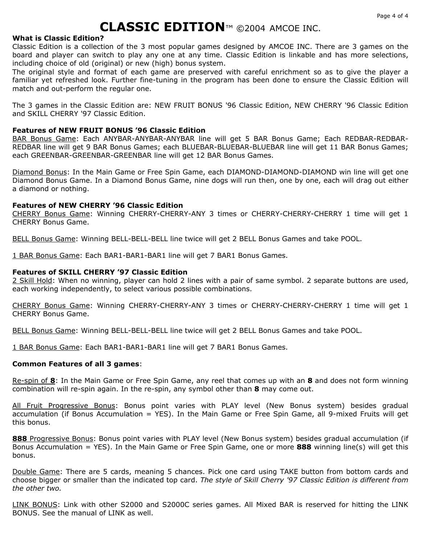### **What is Classic Edition?**

Classic Edition is a collection of the 3 most popular games designed by AMCOE INC. There are 3 games on the board and player can switch to play any one at any time. Classic Edition is linkable and has more selections, including choice of old (original) or new (high) bonus system.

The original style and format of each game are preserved with careful enrichment so as to give the player a familiar yet refreshed look. Further fine-tuning in the program has been done to ensure the Classic Edition will match and out-perform the regular one.

The 3 games in the Classic Edition are: NEW FRUIT BONUS '96 Classic Edition, NEW CHERRY '96 Classic Edition and SKILL CHERRY '97 Classic Edition.

### **Features of NEW FRUIT BONUS '96 Classic Edition**

BAR Bonus Game: Each ANYBAR-ANYBAR-ANYBAR line will get 5 BAR Bonus Game; Each REDBAR-REDBAR-REDBAR line will get 9 BAR Bonus Games; each BLUEBAR-BLUEBAR-BLUEBAR line will get 11 BAR Bonus Games; each GREENBAR-GREENBAR-GREENBAR line will get 12 BAR Bonus Games.

Diamond Bonus: In the Main Game or Free Spin Game, each DIAMOND-DIAMOND-DIAMOND win line will get one Diamond Bonus Game. In a Diamond Bonus Game, nine dogs will run then, one by one, each will drag out either a diamond or nothing.

### **Features of NEW CHERRY '96 Classic Edition**

CHERRY Bonus Game: Winning CHERRY-CHERRY-ANY 3 times or CHERRY-CHERRY-CHERRY 1 time will get 1 CHERRY Bonus Game.

BELL Bonus Game: Winning BELL-BELL-BELL line twice will get 2 BELL Bonus Games and take POOL.

1 BAR Bonus Game: Each BAR1-BAR1-BAR1 line will get 7 BAR1 Bonus Games.

### **Features of SKILL CHERRY '97 Classic Edition**

2 Skill Hold: When no winning, player can hold 2 lines with a pair of same symbol. 2 separate buttons are used, each working independently, to select various possible combinations.

CHERRY Bonus Game: Winning CHERRY-CHERRY-ANY 3 times or CHERRY-CHERRY-CHERRY 1 time will get 1 CHERRY Bonus Game.

BELL Bonus Game: Winning BELL-BELL-BELL line twice will get 2 BELL Bonus Games and take POOL.

1 BAR Bonus Game: Each BAR1-BAR1-BAR1 line will get 7 BAR1 Bonus Games.

#### **Common Features of all 3 games**:

Re-spin of **8**: In the Main Game or Free Spin Game, any reel that comes up with an **8** and does not form winning combination will re-spin again. In the re-spin, any symbol other than **8** may come out.

All Fruit Progressive Bonus: Bonus point varies with PLAY level (New Bonus system) besides gradual accumulation (if Bonus Accumulation = YES). In the Main Game or Free Spin Game, all 9-mixed Fruits will get this bonus.

**888** Progressive Bonus: Bonus point varies with PLAY level (New Bonus system) besides gradual accumulation (if Bonus Accumulation = YES). In the Main Game or Free Spin Game, one or more **888** winning line(s) will get this bonus.

Double Game: There are 5 cards, meaning 5 chances. Pick one card using TAKE button from bottom cards and choose bigger or smaller than the indicated top card. *The style of Skill Cherry '97 Classic Edition is different from the other two.* 

LINK BONUS: Link with other S2000 and S2000C series games. All Mixed BAR is reserved for hitting the LINK BONUS. See the manual of LINK as well.